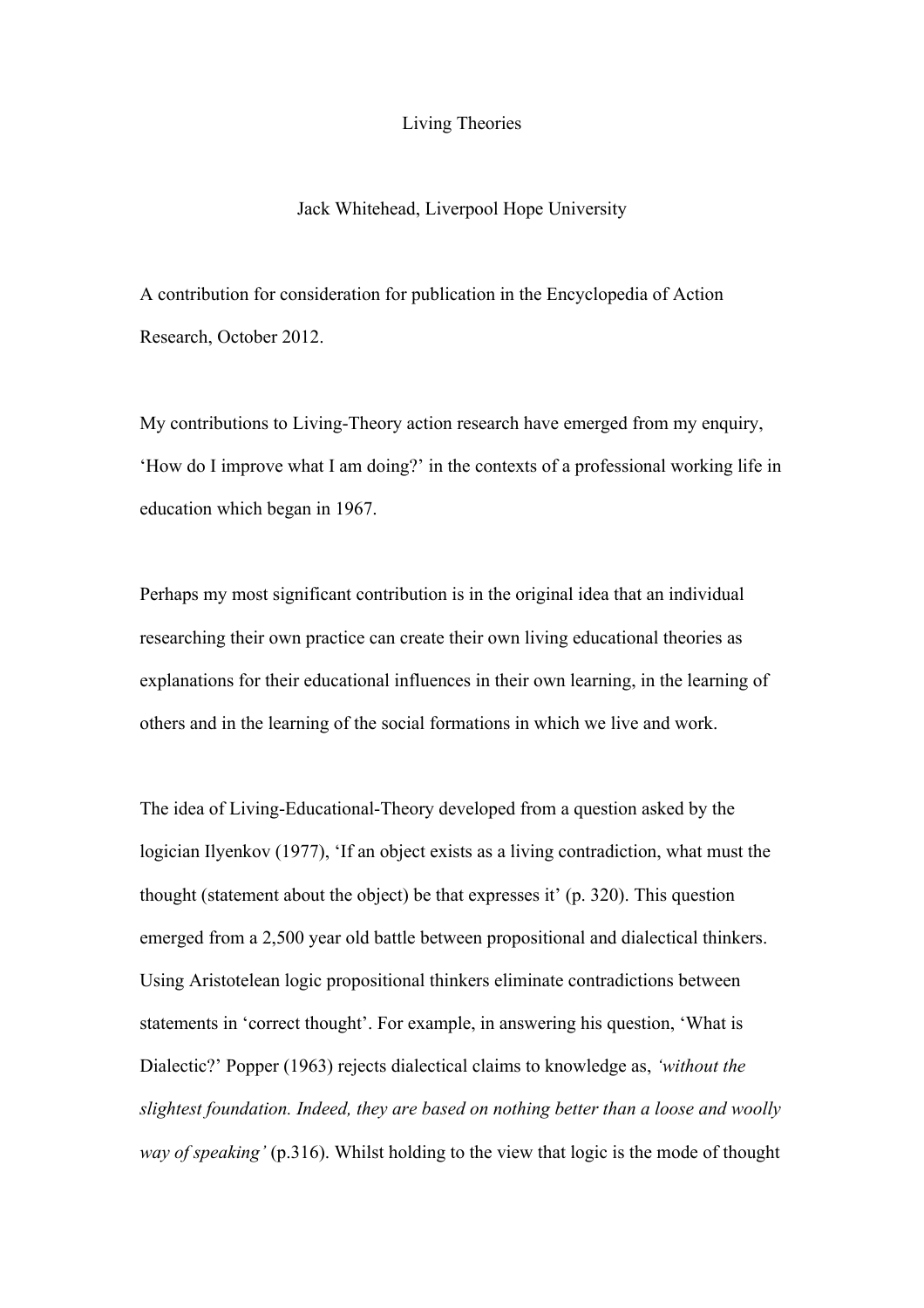## Living Theories

## Jack Whitehead, Liverpool Hope University

A contribution for consideration for publication in the Encyclopedia of Action Research, October 2012.

My contributions to Living-Theory action research have emerged from my enquiry, 'How do I improve what I am doing?' in the contexts of a professional working life in education which began in 1967.

Perhaps my most significant contribution is in the original idea that an individual researching their own practice can create their own living educational theories as explanations for their educational influences in their own learning, in the learning of others and in the learning of the social formations in which we live and work.

The idea of Living-Educational-Theory developed from a question asked by the logician Ilyenkov (1977), 'If an object exists as a living contradiction, what must the thought (statement about the object) be that expresses it' (p. 320). This question emerged from a 2,500 year old battle between propositional and dialectical thinkers. Using Aristotelean logic propositional thinkers eliminate contradictions between statements in 'correct thought'. For example, in answering his question, 'What is Dialectic?' Popper (1963) rejects dialectical claims to knowledge as, *'without the slightest foundation. Indeed, they are based on nothing better than a loose and woolly way of speaking'* (p.316). Whilst holding to the view that logic is the mode of thought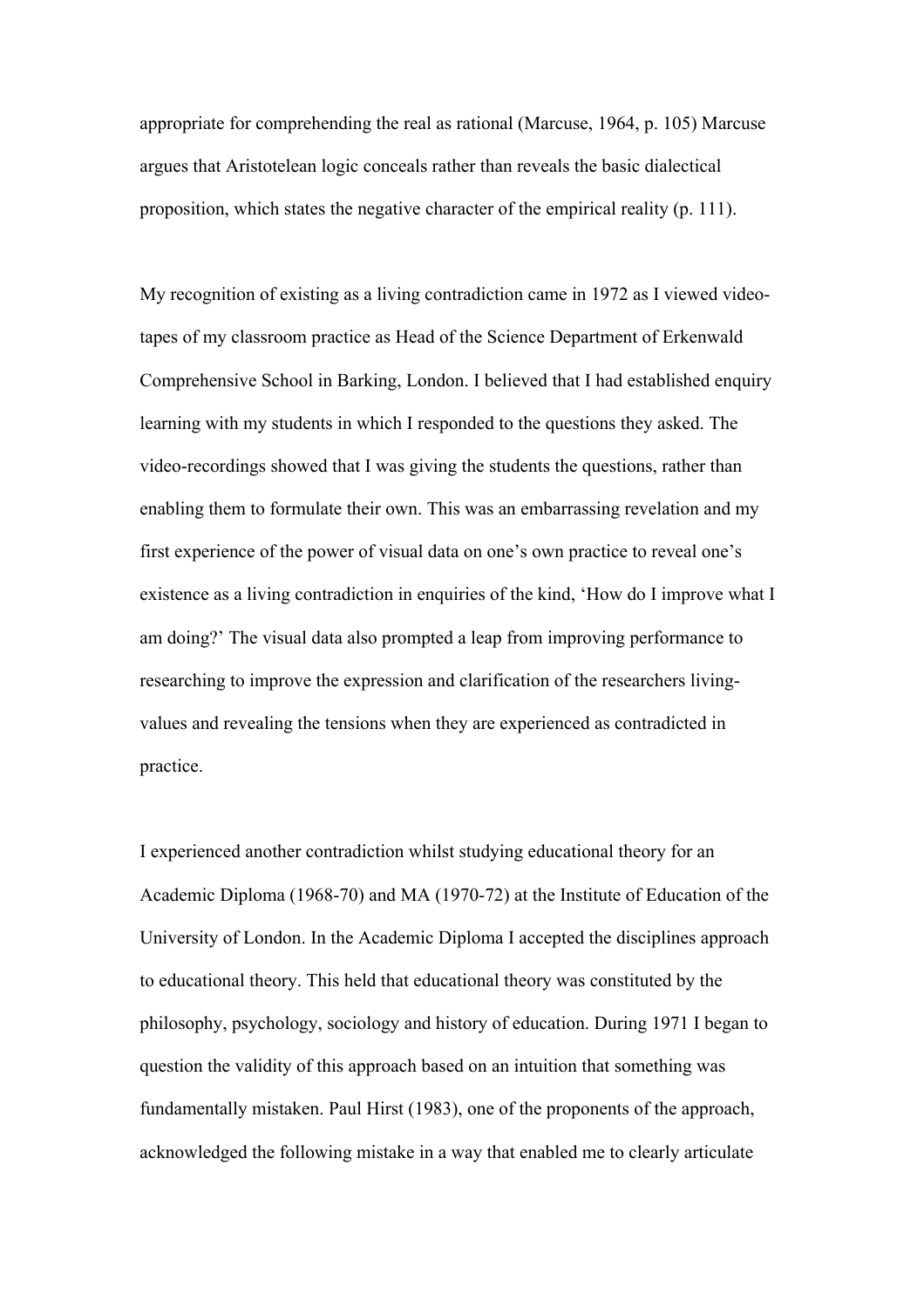appropriate for comprehending the real as rational (Marcuse, 1964, p. 105) Marcuse argues that Aristotelean logic conceals rather than reveals the basic dialectical proposition, which states the negative character of the empirical reality (p. 111).

My recognition of existing as a living contradiction came in 1972 as I viewed videotapes of my classroom practice as Head of the Science Department of Erkenwald Comprehensive School in Barking, London. I believed that I had established enquiry learning with my students in which I responded to the questions they asked. The video-recordings showed that I was giving the students the questions, rather than enabling them to formulate their own. This was an embarrassing revelation and my first experience of the power of visual data on one's own practice to reveal one's existence as a living contradiction in enquiries of the kind, 'How do I improve what I am doing?' The visual data also prompted a leap from improving performance to researching to improve the expression and clarification of the researchers livingvalues and revealing the tensions when they are experienced as contradicted in practice.

I experienced another contradiction whilst studying educational theory for an Academic Diploma (1968-70) and MA (1970-72) at the Institute of Education of the University of London. In the Academic Diploma I accepted the disciplines approach to educational theory. This held that educational theory was constituted by the philosophy, psychology, sociology and history of education. During 1971 I began to question the validity of this approach based on an intuition that something was fundamentally mistaken. Paul Hirst (1983), one of the proponents of the approach, acknowledged the following mistake in a way that enabled me to clearly articulate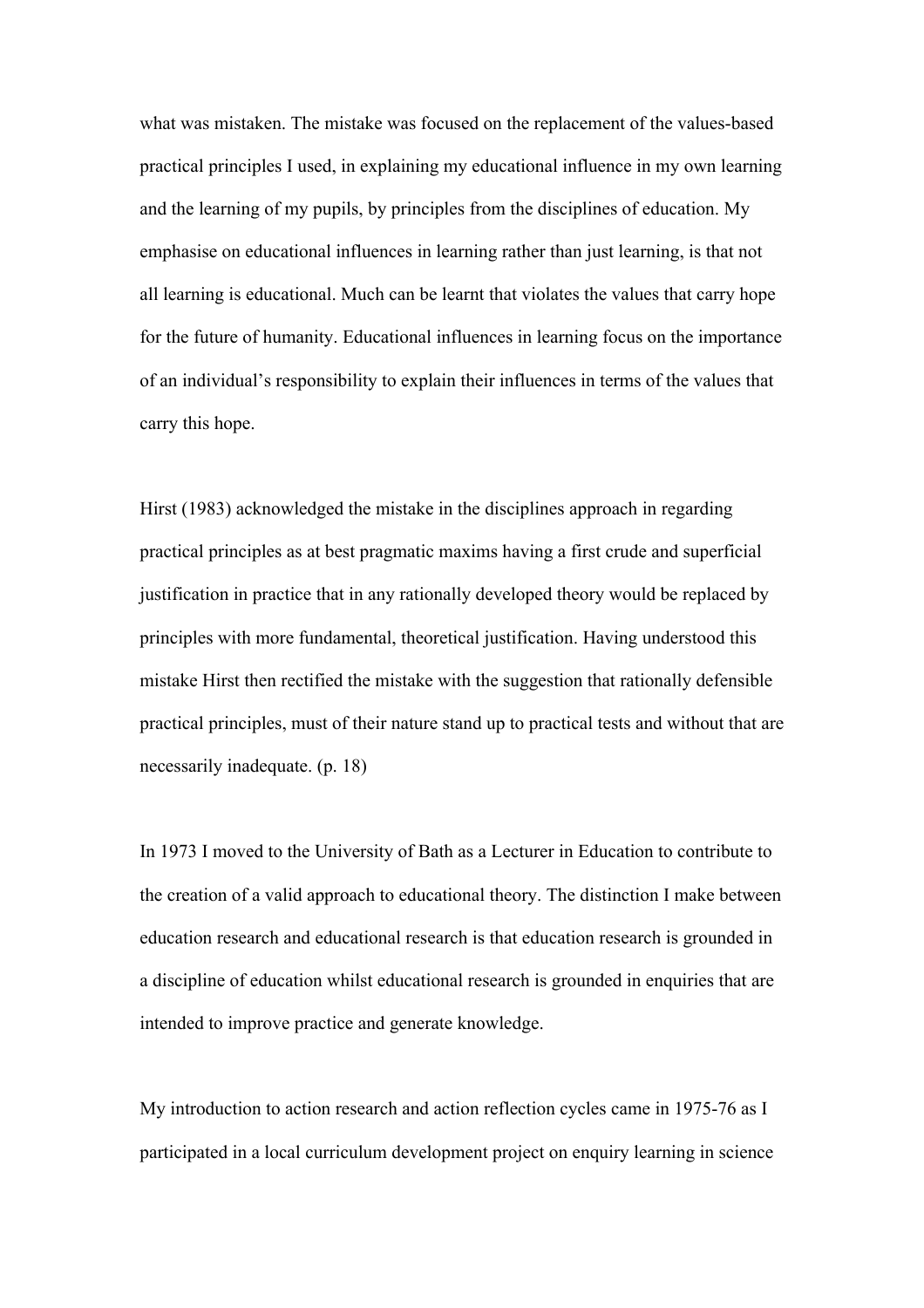what was mistaken. The mistake was focused on the replacement of the values-based practical principles I used, in explaining my educational influence in my own learning and the learning of my pupils, by principles from the disciplines of education. My emphasise on educational influences in learning rather than just learning, is that not all learning is educational. Much can be learnt that violates the values that carry hope for the future of humanity. Educational influences in learning focus on the importance of an individual's responsibility to explain their influences in terms of the values that carry this hope.

Hirst (1983) acknowledged the mistake in the disciplines approach in regarding practical principles as at best pragmatic maxims having a first crude and superficial justification in practice that in any rationally developed theory would be replaced by principles with more fundamental, theoretical justification. Having understood this mistake Hirst then rectified the mistake with the suggestion that rationally defensible practical principles, must of their nature stand up to practical tests and without that are necessarily inadequate. (p. 18)

In 1973 I moved to the University of Bath as a Lecturer in Education to contribute to the creation of a valid approach to educational theory. The distinction I make between education research and educational research is that education research is grounded in a discipline of education whilst educational research is grounded in enquiries that are intended to improve practice and generate knowledge.

My introduction to action research and action reflection cycles came in 1975-76 as I participated in a local curriculum development project on enquiry learning in science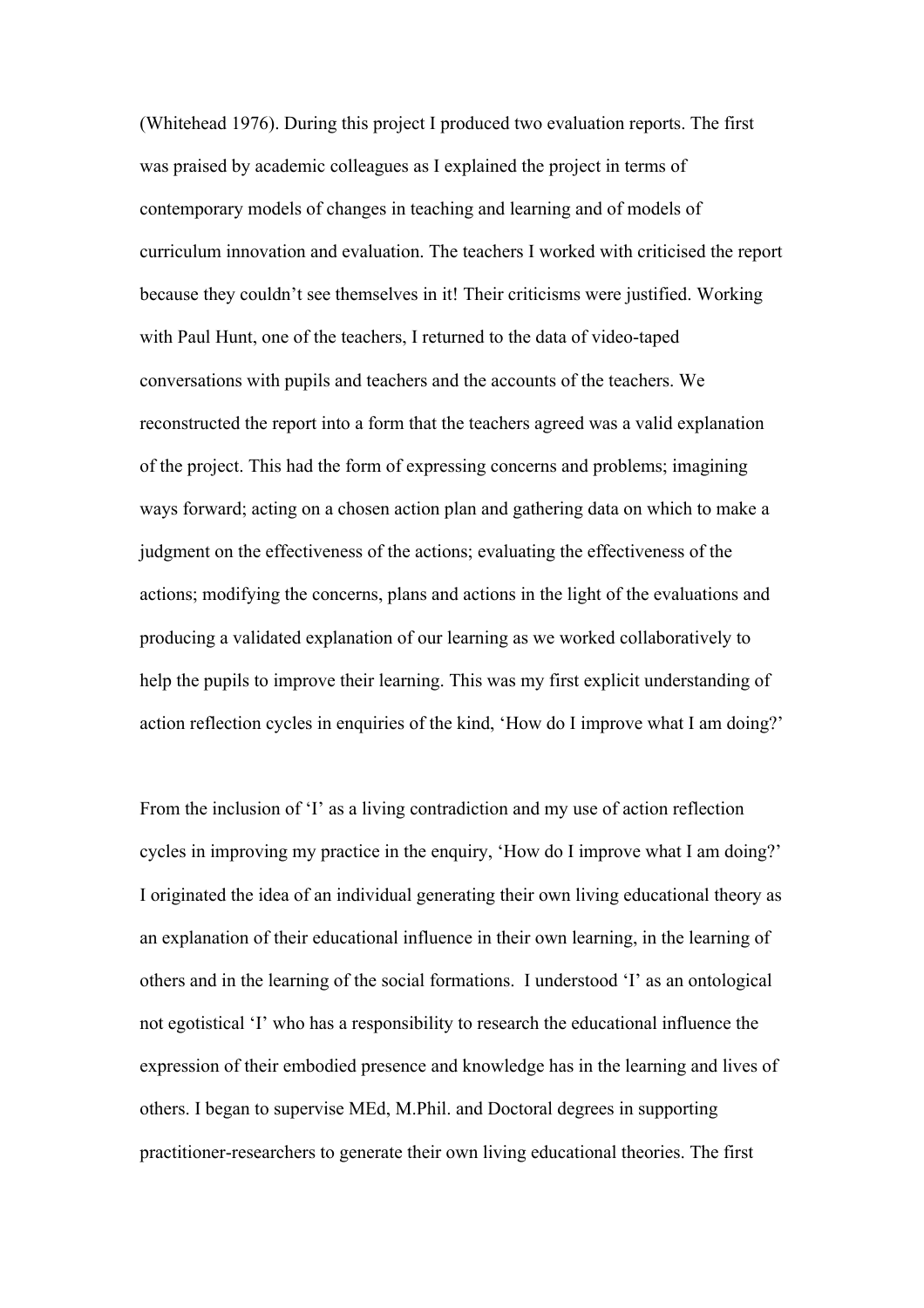(Whitehead 1976). During this project I produced two evaluation reports. The first was praised by academic colleagues as I explained the project in terms of contemporary models of changes in teaching and learning and of models of curriculum innovation and evaluation. The teachers I worked with criticised the report because they couldn't see themselves in it! Their criticisms were justified. Working with Paul Hunt, one of the teachers, I returned to the data of video-taped conversations with pupils and teachers and the accounts of the teachers. We reconstructed the report into a form that the teachers agreed was a valid explanation of the project. This had the form of expressing concerns and problems; imagining ways forward; acting on a chosen action plan and gathering data on which to make a judgment on the effectiveness of the actions; evaluating the effectiveness of the actions; modifying the concerns, plans and actions in the light of the evaluations and producing a validated explanation of our learning as we worked collaboratively to help the pupils to improve their learning. This was my first explicit understanding of action reflection cycles in enquiries of the kind, 'How do I improve what I am doing?'

From the inclusion of 'I' as a living contradiction and my use of action reflection cycles in improving my practice in the enquiry, 'How do I improve what I am doing?' I originated the idea of an individual generating their own living educational theory as an explanation of their educational influence in their own learning, in the learning of others and in the learning of the social formations. I understood 'I' as an ontological not egotistical 'I' who has a responsibility to research the educational influence the expression of their embodied presence and knowledge has in the learning and lives of others. I began to supervise MEd, M.Phil. and Doctoral degrees in supporting practitioner-researchers to generate their own living educational theories. The first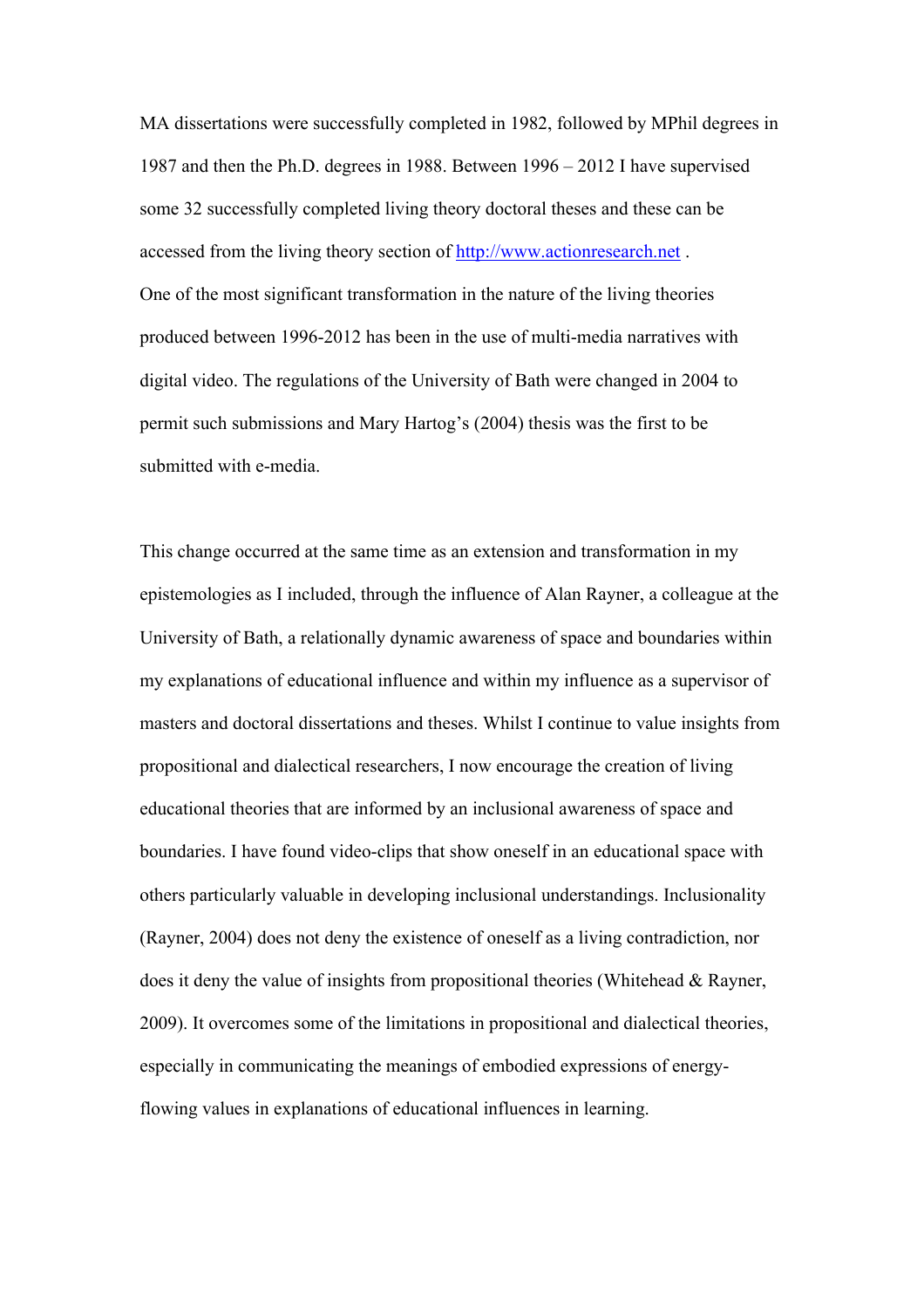MA dissertations were successfully completed in 1982, followed by MPhil degrees in 1987 and then the Ph.D. degrees in 1988. Between 1996 – 2012 I have supervised some 32 successfully completed living theory doctoral theses and these can be accessed from the living theory section of http://www.actionresearch.net . One of the most significant transformation in the nature of the living theories produced between 1996-2012 has been in the use of multi-media narratives with digital video. The regulations of the University of Bath were changed in 2004 to permit such submissions and Mary Hartog's (2004) thesis was the first to be submitted with e-media.

This change occurred at the same time as an extension and transformation in my epistemologies as I included, through the influence of Alan Rayner, a colleague at the University of Bath, a relationally dynamic awareness of space and boundaries within my explanations of educational influence and within my influence as a supervisor of masters and doctoral dissertations and theses. Whilst I continue to value insights from propositional and dialectical researchers, I now encourage the creation of living educational theories that are informed by an inclusional awareness of space and boundaries. I have found video-clips that show oneself in an educational space with others particularly valuable in developing inclusional understandings. Inclusionality (Rayner, 2004) does not deny the existence of oneself as a living contradiction, nor does it deny the value of insights from propositional theories (Whitehead & Rayner, 2009). It overcomes some of the limitations in propositional and dialectical theories, especially in communicating the meanings of embodied expressions of energyflowing values in explanations of educational influences in learning.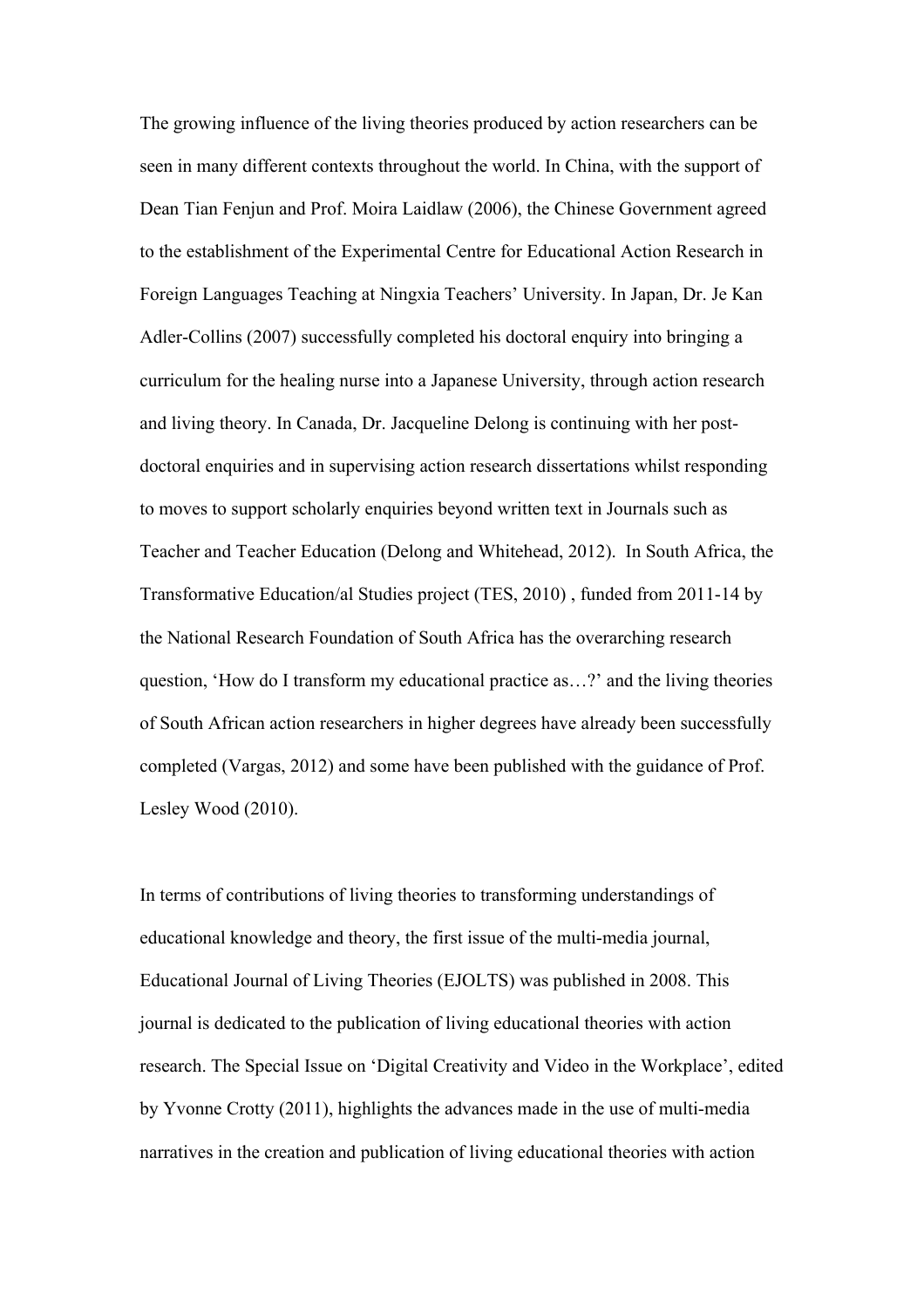The growing influence of the living theories produced by action researchers can be seen in many different contexts throughout the world. In China, with the support of Dean Tian Fenjun and Prof. Moira Laidlaw (2006), the Chinese Government agreed to the establishment of the Experimental Centre for Educational Action Research in Foreign Languages Teaching at Ningxia Teachers' University. In Japan, Dr. Je Kan Adler-Collins (2007) successfully completed his doctoral enquiry into bringing a curriculum for the healing nurse into a Japanese University, through action research and living theory. In Canada, Dr. Jacqueline Delong is continuing with her postdoctoral enquiries and in supervising action research dissertations whilst responding to moves to support scholarly enquiries beyond written text in Journals such as Teacher and Teacher Education (Delong and Whitehead, 2012). In South Africa, the Transformative Education/al Studies project (TES, 2010) , funded from 2011-14 by the National Research Foundation of South Africa has the overarching research question, 'How do I transform my educational practice as…?' and the living theories of South African action researchers in higher degrees have already been successfully completed (Vargas, 2012) and some have been published with the guidance of Prof. Lesley Wood (2010).

In terms of contributions of living theories to transforming understandings of educational knowledge and theory, the first issue of the multi-media journal, Educational Journal of Living Theories (EJOLTS) was published in 2008. This journal is dedicated to the publication of living educational theories with action research. The Special Issue on 'Digital Creativity and Video in the Workplace', edited by Yvonne Crotty (2011), highlights the advances made in the use of multi-media narratives in the creation and publication of living educational theories with action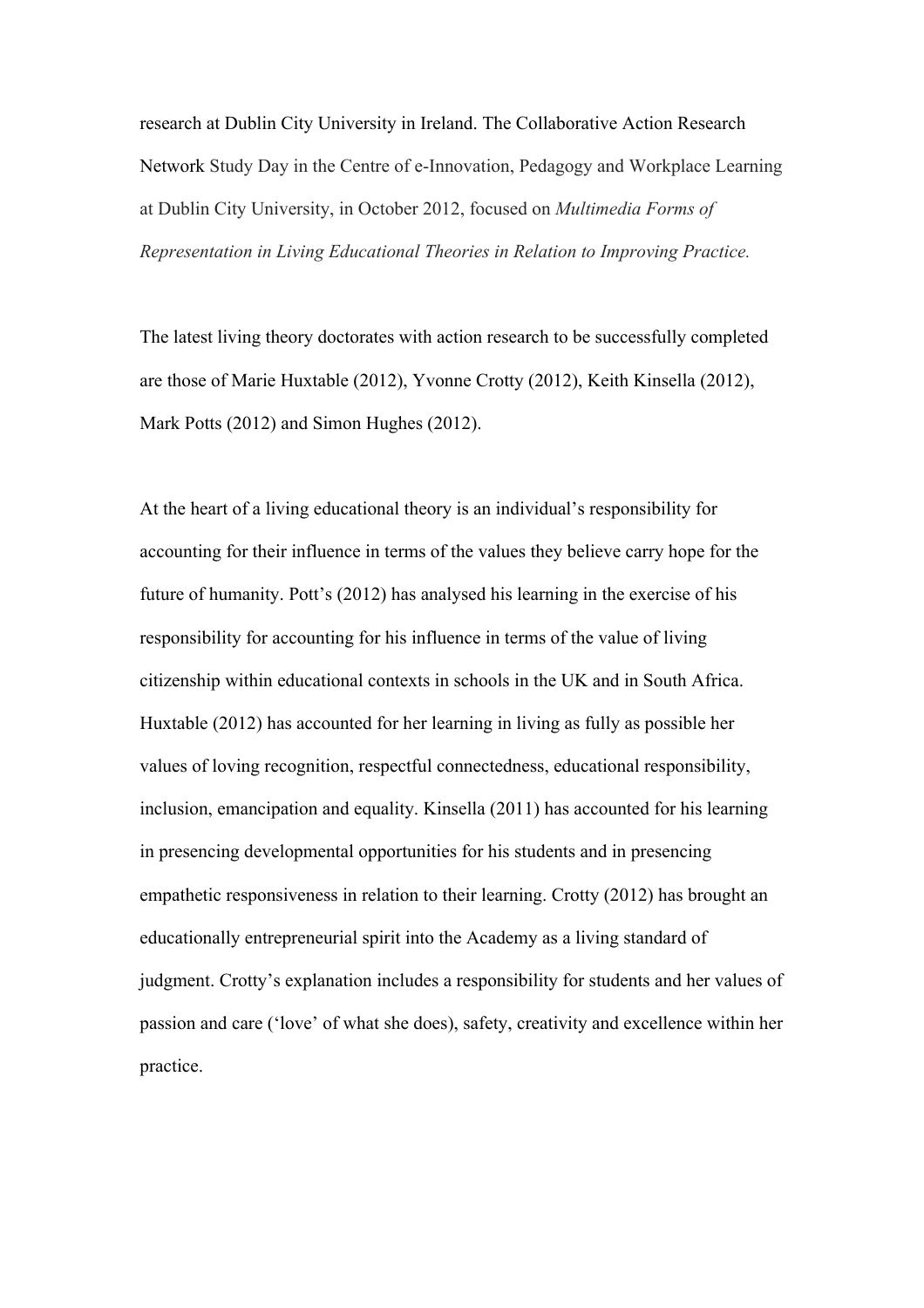research at Dublin City University in Ireland. The Collaborative Action Research Network Study Day in the Centre of e-Innovation, Pedagogy and Workplace Learning at Dublin City University, in October 2012, focused on *Multimedia Forms of Representation in Living Educational Theories in Relation to Improving Practice.*

The latest living theory doctorates with action research to be successfully completed are those of Marie Huxtable (2012), Yvonne Crotty (2012), Keith Kinsella (2012), Mark Potts (2012) and Simon Hughes (2012).

At the heart of a living educational theory is an individual's responsibility for accounting for their influence in terms of the values they believe carry hope for the future of humanity. Pott's (2012) has analysed his learning in the exercise of his responsibility for accounting for his influence in terms of the value of living citizenship within educational contexts in schools in the UK and in South Africa. Huxtable (2012) has accounted for her learning in living as fully as possible her values of loving recognition, respectful connectedness, educational responsibility, inclusion, emancipation and equality. Kinsella (2011) has accounted for his learning in presencing developmental opportunities for his students and in presencing empathetic responsiveness in relation to their learning. Crotty (2012) has brought an educationally entrepreneurial spirit into the Academy as a living standard of judgment. Crotty's explanation includes a responsibility for students and her values of passion and care ('love' of what she does), safety, creativity and excellence within her practice.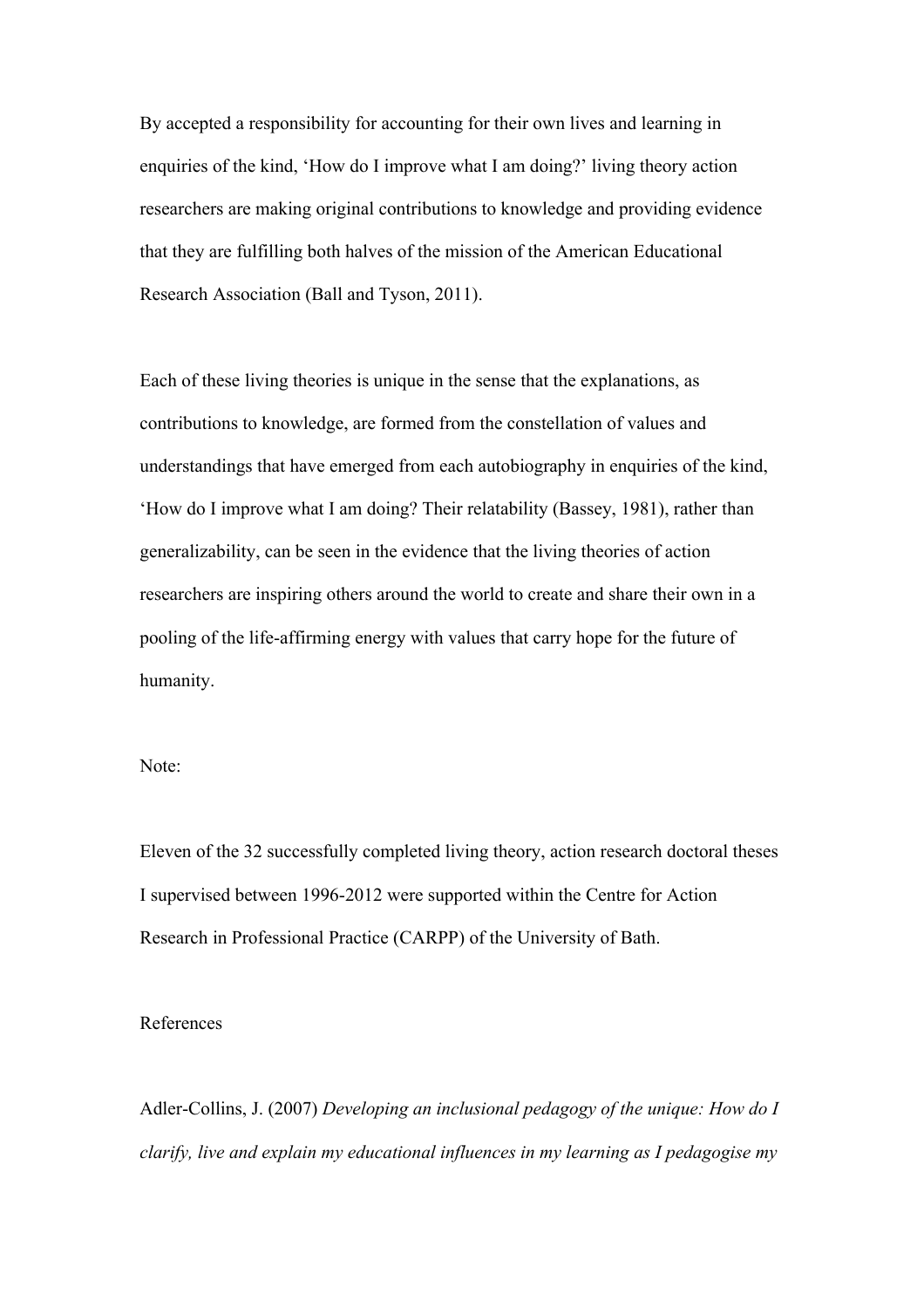By accepted a responsibility for accounting for their own lives and learning in enquiries of the kind, 'How do I improve what I am doing?' living theory action researchers are making original contributions to knowledge and providing evidence that they are fulfilling both halves of the mission of the American Educational Research Association (Ball and Tyson, 2011).

Each of these living theories is unique in the sense that the explanations, as contributions to knowledge, are formed from the constellation of values and understandings that have emerged from each autobiography in enquiries of the kind, 'How do I improve what I am doing? Their relatability (Bassey, 1981), rather than generalizability, can be seen in the evidence that the living theories of action researchers are inspiring others around the world to create and share their own in a pooling of the life-affirming energy with values that carry hope for the future of humanity.

Note:

Eleven of the 32 successfully completed living theory, action research doctoral theses I supervised between 1996-2012 were supported within the Centre for Action Research in Professional Practice (CARPP) of the University of Bath.

References

Adler-Collins, J. (2007) *Developing an inclusional pedagogy of the unique: How do I clarify, live and explain my educational influences in my learning as I pedagogise my*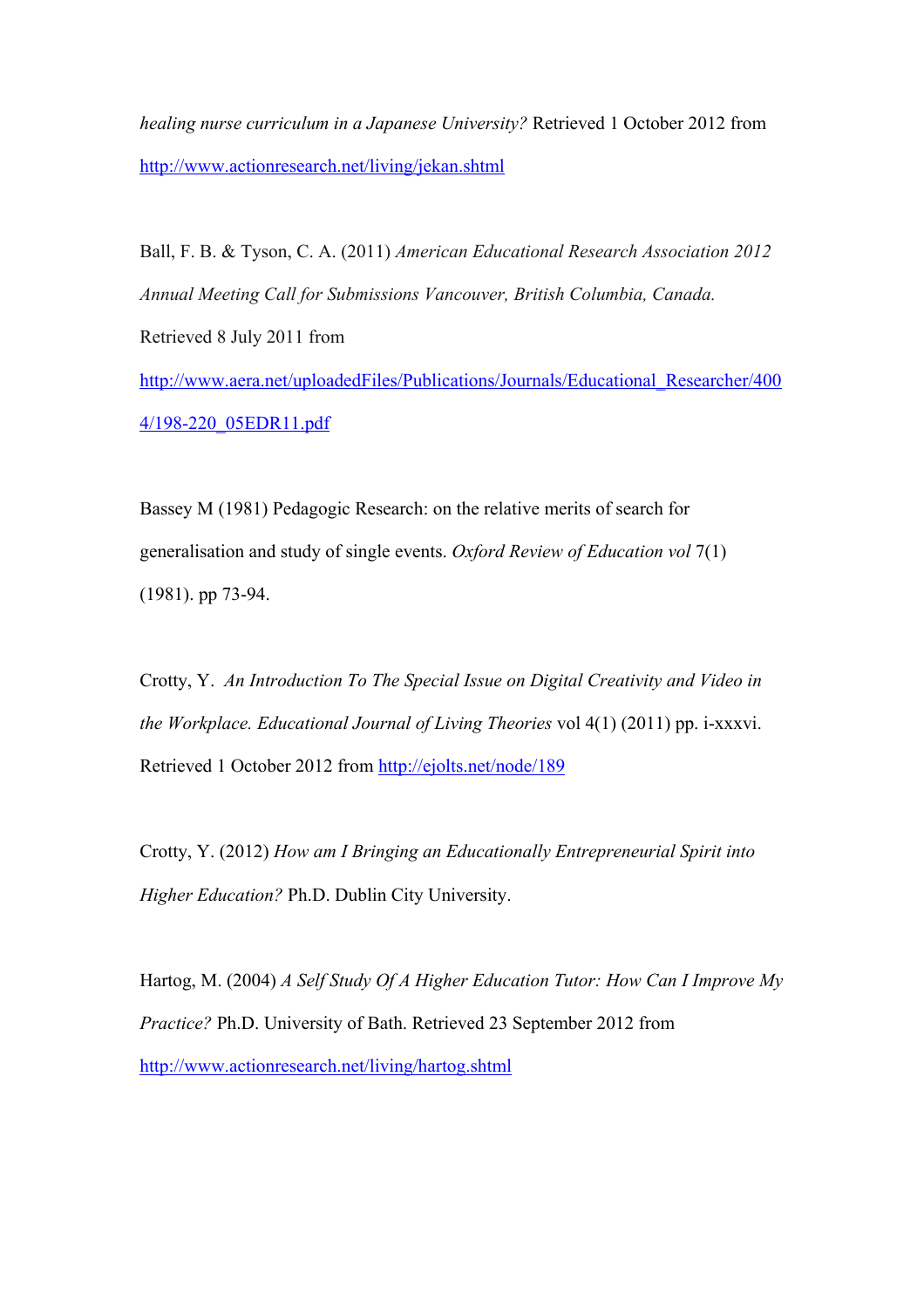*healing nurse curriculum in a Japanese University?* Retrieved 1 October 2012 from http://www.actionresearch.net/living/jekan.shtml

Ball, F. B. & Tyson, C. A. (2011) *American Educational Research Association 2012 Annual Meeting Call for Submissions Vancouver, British Columbia, Canada.* Retrieved 8 July 2011 from http://www.aera.net/uploadedFiles/Publications/Journals/Educational\_Researcher/400 4/198-220\_05EDR11.pdf

Bassey M (1981) Pedagogic Research: on the relative merits of search for generalisation and study of single events. *Oxford Review of Education vol* 7(1) (1981). pp 73-94.

Crotty, Y. *An Introduction To The Special Issue on Digital Creativity and Video in the Workplace. Educational Journal of Living Theories* vol 4(1) (2011) pp. i-xxxvi. Retrieved 1 October 2012 from http://ejolts.net/node/189

Crotty, Y. (2012) *How am I Bringing an Educationally Entrepreneurial Spirit into Higher Education?* Ph.D. Dublin City University.

Hartog, M. (2004) *A Self Study Of A Higher Education Tutor: How Can I Improve My Practice?* Ph.D. University of Bath. Retrieved 23 September 2012 from http://www.actionresearch.net/living/hartog.shtml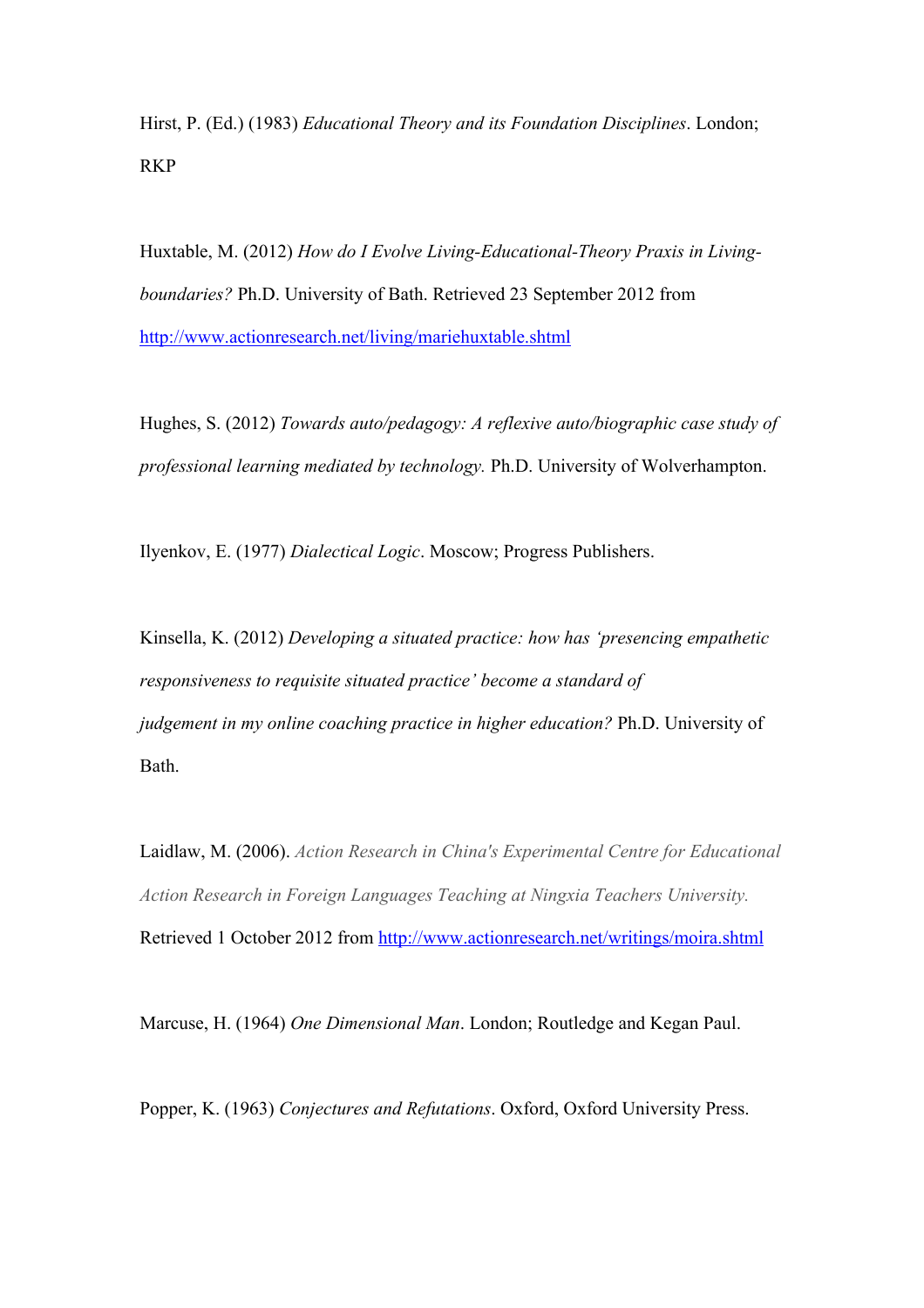Hirst, P. (Ed.) (1983) *Educational Theory and its Foundation Disciplines*. London; RKP

Huxtable, M. (2012) *How do I Evolve Living-Educational-Theory Praxis in Livingboundaries?* Ph.D. University of Bath. Retrieved 23 September 2012 from http://www.actionresearch.net/living/mariehuxtable.shtml

Hughes, S. (2012) *Towards auto/pedagogy: A reflexive auto/biographic case study of professional learning mediated by technology.* Ph.D. University of Wolverhampton.

Ilyenkov, E. (1977) *Dialectical Logic*. Moscow; Progress Publishers.

Kinsella, K. (2012) *Developing a situated practice: how has 'presencing empathetic responsiveness to requisite situated practice' become a standard of judgement in my online coaching practice in higher education?* Ph.D. University of Bath.

Laidlaw, M. (2006). *Action Research in China's Experimental Centre for Educational Action Research in Foreign Languages Teaching at Ningxia Teachers University.*  Retrieved 1 October 2012 from http://www.actionresearch.net/writings/moira.shtml

Marcuse, H. (1964) *One Dimensional Man*. London; Routledge and Kegan Paul.

Popper, K. (1963) *Conjectures and Refutations*. Oxford, Oxford University Press.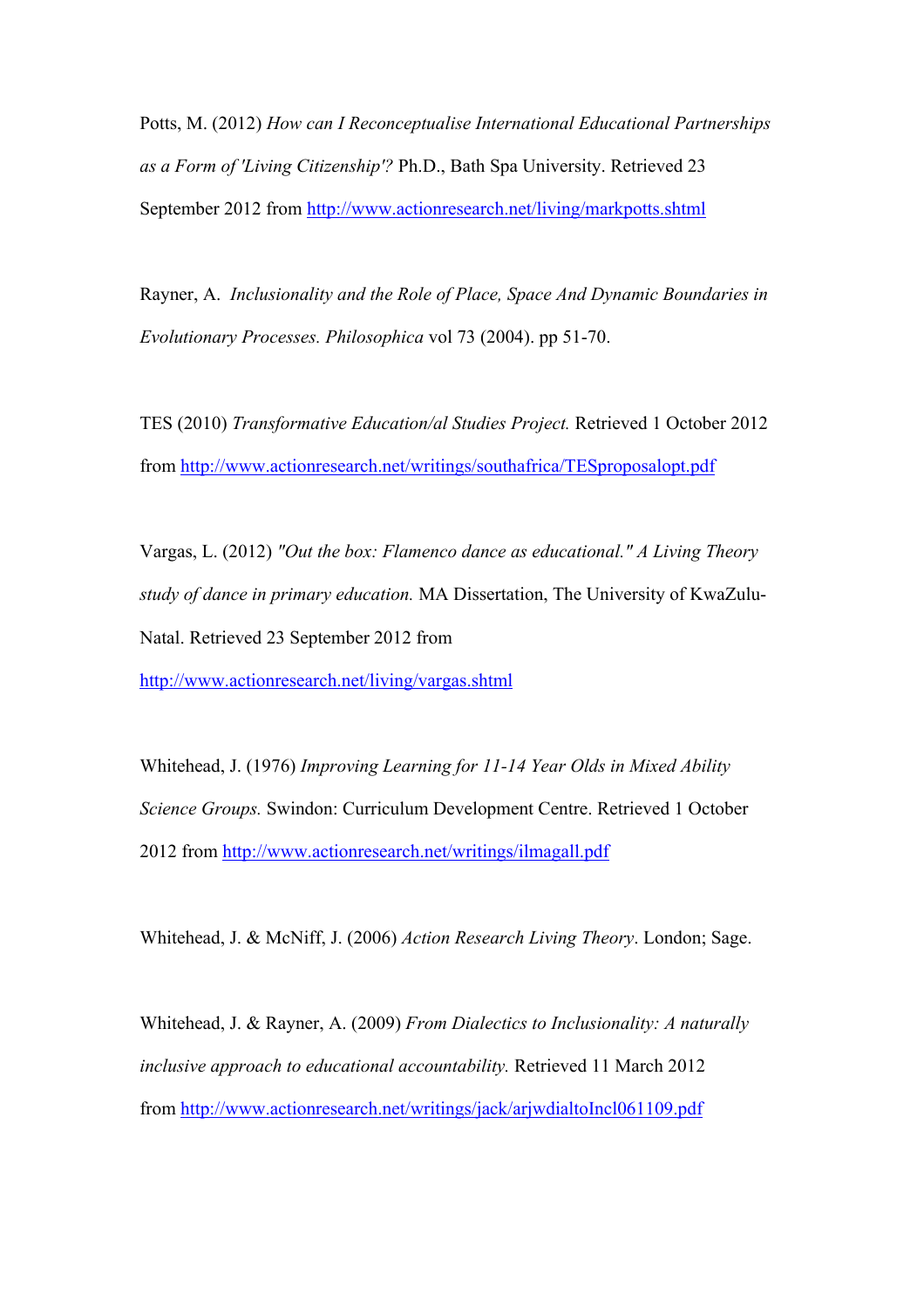Potts, M. (2012) *How can I Reconceptualise International Educational Partnerships as a Form of 'Living Citizenship'?* Ph.D., Bath Spa University. Retrieved 23 September 2012 from http://www.actionresearch.net/living/markpotts.shtml

Rayner, A. *Inclusionality and the Role of Place, Space And Dynamic Boundaries in Evolutionary Processes. Philosophica* vol 73 (2004). pp 51-70.

TES (2010) *Transformative Education/al Studies Project.* Retrieved 1 October 2012 from http://www.actionresearch.net/writings/southafrica/TESproposalopt.pdf

Vargas, L. (2012) *"Out the box: Flamenco dance as educational." A Living Theory study of dance in primary education.* MA Dissertation, The University of KwaZulu-Natal. Retrieved 23 September 2012 from

http://www.actionresearch.net/living/vargas.shtml

Whitehead, J. (1976) *Improving Learning for 11-14 Year Olds in Mixed Ability Science Groups.* Swindon: Curriculum Development Centre. Retrieved 1 October 2012 from http://www.actionresearch.net/writings/ilmagall.pdf

Whitehead, J. & McNiff, J. (2006) *Action Research Living Theory*. London; Sage.

Whitehead, J. & Rayner, A. (2009) *From Dialectics to Inclusionality: A naturally inclusive approach to educational accountability.* Retrieved 11 March 2012 from http://www.actionresearch.net/writings/jack/arjwdialtoIncl061109.pdf